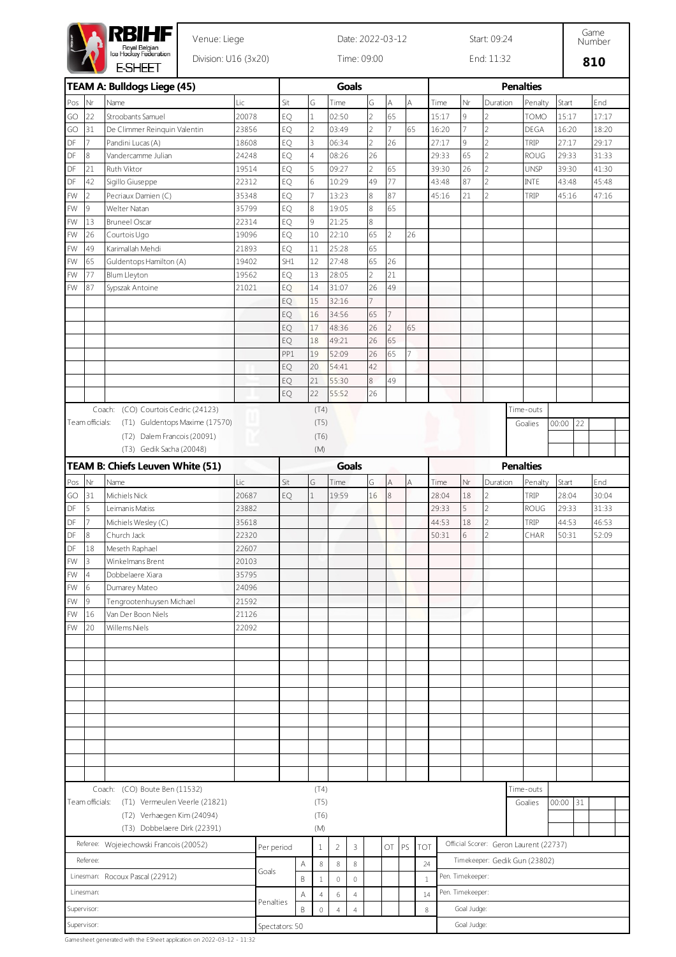|                                                       |                           | RBIHF                                                    |                      | Date: 2022-03-12 |                                                                                     |                |                |                |                |                |    |            | Start: 09:24     |                |                  |                                        |       |       |       |  |  |  |  |
|-------------------------------------------------------|---------------------------|----------------------------------------------------------|----------------------|------------------|-------------------------------------------------------------------------------------|----------------|----------------|----------------|----------------|----------------|----|------------|------------------|----------------|------------------|----------------------------------------|-------|-------|-------|--|--|--|--|
|                                                       |                           | Royal Belgian<br>Ice Hockey Federation<br><b>E-SHEET</b> | Division: U16 (3x20) |                  |                                                                                     |                | Time: 09:00    |                |                |                |    | End: 11:32 |                  |                |                  |                                        |       | 810   |       |  |  |  |  |
|                                                       |                           | TEAM A: Bulldogs Liege (45)                              |                      |                  |                                                                                     |                |                | <b>Goals</b>   |                |                |    |            |                  |                | <b>Penalties</b> |                                        |       |       |       |  |  |  |  |
| Pos                                                   | Nr                        | Name                                                     | Lic                  |                  | Sit                                                                                 | G              | Time           |                | G              | A              | A  | Time       | Nr               | Duration       |                  | Penalty                                | Start |       | End   |  |  |  |  |
| GO                                                    | 22                        | Stroobants Samuel                                        | 20078                |                  | EQ                                                                                  | 1              | 02:50          |                | $\overline{2}$ | 65             |    | 15:17      | 9                | $\overline{c}$ |                  | TOMO                                   | 15:17 |       | 17:17 |  |  |  |  |
| GO                                                    | 31                        | De Climmer Reinquin Valentin                             | 23856                |                  | EQ                                                                                  | 2              | 03:49          |                | $\overline{2}$ | 7              | 65 | 16:20      | 7                | $\overline{c}$ |                  | DEGA                                   | 16:20 |       | 18:20 |  |  |  |  |
| DF                                                    | 7                         | Pandini Lucas (A)                                        | 18608                |                  | EQ                                                                                  | 3              | 06:34          |                | $\overline{2}$ | 26             |    | 27:17      | 9                | $\overline{2}$ | TRIP             |                                        | 27:17 |       | 29:17 |  |  |  |  |
| DF                                                    | 8                         | Vandercamme Julian                                       | 24248                |                  | EQ                                                                                  | 4              | 08:26          |                | 26             |                |    | 29:33      | 65               | $\overline{c}$ |                  | <b>ROUG</b>                            | 29:33 |       | 31:33 |  |  |  |  |
| DF                                                    | 21                        | Ruth Viktor                                              | 19514                |                  | EQ                                                                                  | 5              | 09:27          |                | $\overline{2}$ | 65             |    | 39:30      | 26               | $\overline{c}$ |                  | <b>UNSP</b>                            | 39:30 |       | 41:30 |  |  |  |  |
| DF                                                    | 42                        | Sigillo Giuseppe                                         | 22312                |                  | EQ                                                                                  | 6              | 10:29          |                | 49             | 77             |    | 43:48      | 87               | $\overline{c}$ | <b>INTE</b>      |                                        | 43:48 |       | 45:48 |  |  |  |  |
| FW                                                    | $\overline{2}$            | Pecriaux Damien (C)                                      | 35348                |                  | EQ                                                                                  | $\overline{7}$ | 13:23          |                | 8              | 87             |    | 45:16      | 21               | $\overline{2}$ | TRIP             |                                        | 45:16 |       | 47:16 |  |  |  |  |
| FW                                                    | 9                         | Welter Natan                                             | 35799                |                  | EQ                                                                                  | 8              | 19:05          |                | 8              | 65             |    |            |                  |                |                  |                                        |       |       |       |  |  |  |  |
| FW                                                    | 13                        | <b>Bruneel Oscar</b>                                     | 22314                |                  | EQ                                                                                  | 9              | 21:25          |                | 8              |                |    |            |                  |                |                  |                                        |       |       |       |  |  |  |  |
| FW                                                    | 26                        | Courtois Ugo                                             | 19096                |                  | EQ                                                                                  | 10             | 22:10          |                | 65             | $\overline{2}$ | 26 |            |                  |                |                  |                                        |       |       |       |  |  |  |  |
| FW                                                    | 49                        | Karimallah Mehdi                                         | 21893                |                  | EQ                                                                                  | 11             | 25:28          |                | 65             |                |    |            |                  |                |                  |                                        |       |       |       |  |  |  |  |
| FW                                                    | 65                        | Guldentops Hamilton (A)                                  | 19402                |                  | SH1                                                                                 | 12             | 27:48          |                | 65             | 26             |    |            |                  |                |                  |                                        |       |       |       |  |  |  |  |
| FW                                                    | 77                        | Blum Lleyton                                             | 19562                |                  | EQ                                                                                  | 13             | 28:05          |                | $\overline{2}$ | 21             |    |            |                  |                |                  |                                        |       |       |       |  |  |  |  |
| <b>FW</b>                                             | 87                        | Sypszak Antoine                                          | 21021                |                  | EQ                                                                                  | 14             | 31:07          |                | 26             | 49             |    |            |                  |                |                  |                                        |       |       |       |  |  |  |  |
|                                                       |                           |                                                          |                      |                  | EQ                                                                                  | 15             | 32:16          |                | 7              |                |    |            |                  |                |                  |                                        |       |       |       |  |  |  |  |
|                                                       |                           |                                                          |                      |                  | EQ                                                                                  | 16             | 34:56          |                | 65             | 7              |    |            |                  |                |                  |                                        |       |       |       |  |  |  |  |
|                                                       |                           |                                                          |                      |                  | EQ                                                                                  | 17             | 48:36          |                | 26             | $\overline{c}$ | 65 |            |                  |                |                  |                                        |       |       |       |  |  |  |  |
|                                                       |                           |                                                          |                      |                  | EQ                                                                                  | 18             | 49:21          |                | 26             | 65             |    |            |                  |                |                  |                                        |       |       |       |  |  |  |  |
|                                                       |                           |                                                          |                      |                  | PP1                                                                                 | 19             | 52:09          |                | 26             | 65             | 7  |            |                  |                |                  |                                        |       |       |       |  |  |  |  |
|                                                       |                           |                                                          |                      |                  | EQ                                                                                  | 20             | 54:41          |                | 42             |                |    |            |                  |                |                  |                                        |       |       |       |  |  |  |  |
|                                                       |                           |                                                          |                      |                  | EQ                                                                                  | 21             | 55:30          |                | 8              | 49             |    |            |                  |                |                  |                                        |       |       |       |  |  |  |  |
|                                                       |                           |                                                          |                      |                  | EQ                                                                                  | 22             | 55:52          |                | 26             |                |    |            |                  |                |                  |                                        |       |       |       |  |  |  |  |
|                                                       |                           | Coach: (CO) Courtois Cedric (24123)                      |                      |                  |                                                                                     | (T4)           |                |                |                |                |    |            |                  |                | Time-outs        |                                        |       |       |       |  |  |  |  |
|                                                       | Team officials:           | (T1) Guldentops Maxime (17570)                           |                      |                  |                                                                                     | (T5)           |                |                |                |                |    |            |                  |                | Goalies          |                                        | 00:00 | 22    |       |  |  |  |  |
|                                                       |                           | (T2) Dalem Francois (20091)                              |                      |                  |                                                                                     | (T6)           |                |                |                |                |    |            |                  |                |                  |                                        |       |       |       |  |  |  |  |
|                                                       |                           | (T3) Gedik Sacha (20048)                                 |                      |                  |                                                                                     | (M)            |                |                |                |                |    |            |                  |                |                  |                                        |       |       |       |  |  |  |  |
|                                                       |                           | TEAM B: Chiefs Leuven White (51)                         |                      |                  |                                                                                     |                |                | <b>Goals</b>   |                |                |    |            |                  |                | <b>Penalties</b> |                                        |       |       |       |  |  |  |  |
| Pos                                                   | $\overline{\mathsf{N}}$ r | Name                                                     | Lic                  |                  | Sit                                                                                 | G              | Time           |                | G              | Α              | A  | Time       | Nr               | Duration       |                  | Penalty                                | Start |       | End   |  |  |  |  |
| GO                                                    | 31                        | Michiels Nick                                            | 20687                |                  | EQ                                                                                  | $\mathbf{1}$   | 19:59          |                | 16             | 8              |    | 28:04      | 18               | $\overline{2}$ | TRIP             |                                        | 28:04 |       | 30:04 |  |  |  |  |
| DF                                                    | 5                         | Leimanis Matiss                                          | 23882                |                  |                                                                                     |                |                |                |                |                |    | 29:33      | 5                | $\overline{c}$ |                  | <b>ROUG</b>                            | 29:33 |       | 31:33 |  |  |  |  |
| DF                                                    | 7                         | Michiels Wesley (C)                                      | 35618                |                  |                                                                                     |                |                |                |                |                |    | 44:53      | 18               | $\overline{c}$ | TRIP             |                                        | 44:53 |       | 46:53 |  |  |  |  |
| DF                                                    | 8                         | Church Jack                                              | 22320                |                  |                                                                                     |                |                |                |                |                |    | 50:31      | 6                | $\mathfrak{D}$ |                  | CHAR                                   | 50:31 |       | 52:09 |  |  |  |  |
| DF                                                    | 18                        | Meseth Raphael                                           | 22607                |                  |                                                                                     |                |                |                |                |                |    |            |                  |                |                  |                                        |       |       |       |  |  |  |  |
| FW                                                    | 3                         | Winkelmans Brent                                         | 20103                |                  |                                                                                     |                |                |                |                |                |    |            |                  |                |                  |                                        |       |       |       |  |  |  |  |
| FW                                                    | $\overline{4}$            | Dobbelaere Xiara                                         | 35795                |                  |                                                                                     |                |                |                |                |                |    |            |                  |                |                  |                                        |       |       |       |  |  |  |  |
| FW                                                    | 6                         | Dumarey Mateo                                            | 24096                |                  |                                                                                     |                |                |                |                |                |    |            |                  |                |                  |                                        |       |       |       |  |  |  |  |
| FW                                                    | 9                         | Tengrootenhuysen Michael                                 | 21592                |                  |                                                                                     |                |                |                |                |                |    |            |                  |                |                  |                                        |       |       |       |  |  |  |  |
| FW                                                    | 16                        | Van Der Boon Niels                                       | 21126                |                  |                                                                                     |                |                |                |                |                |    |            |                  |                |                  |                                        |       |       |       |  |  |  |  |
| FW                                                    | 20                        | Willems Niels                                            | 22092                |                  |                                                                                     |                |                |                |                |                |    |            |                  |                |                  |                                        |       |       |       |  |  |  |  |
|                                                       |                           |                                                          |                      |                  |                                                                                     |                |                |                |                |                |    |            |                  |                |                  |                                        |       |       |       |  |  |  |  |
|                                                       |                           |                                                          |                      |                  |                                                                                     |                |                |                |                |                |    |            |                  |                |                  |                                        |       |       |       |  |  |  |  |
|                                                       |                           |                                                          |                      |                  |                                                                                     |                |                |                |                |                |    |            |                  |                |                  |                                        |       |       |       |  |  |  |  |
|                                                       |                           |                                                          |                      |                  |                                                                                     |                |                |                |                |                |    |            |                  |                |                  |                                        |       |       |       |  |  |  |  |
|                                                       |                           |                                                          |                      |                  |                                                                                     |                |                |                |                |                |    |            |                  |                |                  |                                        |       |       |       |  |  |  |  |
|                                                       |                           |                                                          |                      |                  |                                                                                     |                |                |                |                |                |    |            |                  |                |                  |                                        |       |       |       |  |  |  |  |
|                                                       |                           |                                                          |                      |                  |                                                                                     |                |                |                |                |                |    |            |                  |                |                  |                                        |       |       |       |  |  |  |  |
|                                                       |                           |                                                          |                      |                  |                                                                                     |                |                |                |                |                |    |            |                  |                |                  |                                        |       |       |       |  |  |  |  |
|                                                       |                           |                                                          |                      |                  |                                                                                     |                |                |                |                |                |    |            |                  |                |                  |                                        |       |       |       |  |  |  |  |
|                                                       |                           |                                                          |                      |                  |                                                                                     |                |                |                |                |                |    |            |                  |                |                  |                                        |       |       |       |  |  |  |  |
|                                                       |                           |                                                          |                      |                  |                                                                                     |                |                |                |                |                |    |            |                  |                |                  |                                        |       |       |       |  |  |  |  |
|                                                       |                           | Coach: (CO) Boute Ben (11532)                            |                      |                  |                                                                                     | (T4)           |                |                |                |                |    |            |                  |                | Time-outs        |                                        |       |       |       |  |  |  |  |
|                                                       | Team officials:           | (T1) Vermeulen Veerle (21821)                            |                      |                  |                                                                                     | (T5)           |                |                |                |                |    |            |                  |                | Goalies          |                                        | 00:00 | $ 31$ |       |  |  |  |  |
|                                                       |                           | (T2) Verhaegen Kim (24094)                               |                      |                  |                                                                                     | (T6)           |                |                |                |                |    |            |                  |                |                  |                                        |       |       |       |  |  |  |  |
|                                                       |                           | (T3) Dobbelaere Dirk (22391)                             |                      |                  | (M)                                                                                 |                |                |                |                |                |    |            |                  |                |                  |                                        |       |       |       |  |  |  |  |
| Referee: Wojeiechowski Francois (20052)<br>Per period |                           |                                                          |                      |                  |                                                                                     | 1              | $\overline{2}$ | 3              |                | OT             | PS | <b>TOT</b> |                  |                |                  | Official Scorer: Geron Laurent (22737) |       |       |       |  |  |  |  |
| Referee:                                              |                           |                                                          |                      |                  | Α                                                                                   | $\,8\,$        | $\,$ 8 $\,$    | $\,$ 8 $\,$    |                |                |    | 24         |                  |                |                  | Timekeeper: Gedik Gun (23802)          |       |       |       |  |  |  |  |
|                                                       |                           | Linesman: Rocoux Pascal (22912)                          |                      | Goals            | Pen. Timekeeper:<br>B<br>$\mathbb O$<br>$\mathbb O$<br>$\mathbf{1}$<br>$\mathbf{1}$ |                |                |                |                |                |    |            |                  |                |                  |                                        |       |       |       |  |  |  |  |
|                                                       |                           |                                                          |                      |                  |                                                                                     |                |                |                |                |                |    |            |                  |                |                  |                                        |       |       |       |  |  |  |  |
| Linesman:                                             |                           |                                                          |                      |                  |                                                                                     |                |                |                |                |                |    |            |                  |                |                  |                                        |       |       |       |  |  |  |  |
|                                                       |                           |                                                          |                      | Penalties        | Α                                                                                   | $\sqrt{4}$     | $\,6\,$        | $\sqrt{4}$     |                |                |    | 14         | Pen. Timekeeper: |                |                  |                                        |       |       |       |  |  |  |  |
|                                                       | Supervisor:               |                                                          |                      |                  | B                                                                                   | $\mathbb O$    | $\overline{4}$ | $\overline{4}$ |                |                |    | 8          | Goal Judge:      |                |                  |                                        |       |       |       |  |  |  |  |

Gamesheet generated with the ESheet application on 2022-03-12 - 11:32